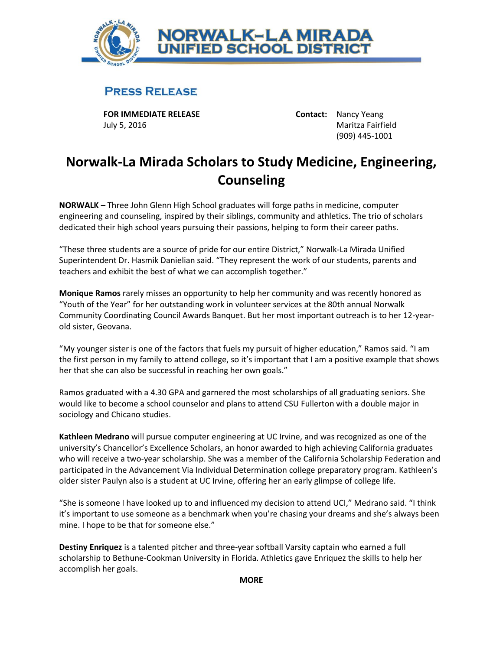

## **PRESS RELEASE**

**FOR IMMEDIATE RELEASE Contact:** Nancy Yeang July 5, 2016 Maritza Fairfield

(909) 445-1001

## **Norwalk-La Mirada Scholars to Study Medicine, Engineering, Counseling**

**NORWALK** *–* Three John Glenn High School graduates will forge paths in medicine, computer engineering and counseling, inspired by their siblings, community and athletics. The trio of scholars dedicated their high school years pursuing their passions, helping to form their career paths.

"These three students are a source of pride for our entire District," Norwalk-La Mirada Unified Superintendent Dr. Hasmik Danielian said. "They represent the work of our students, parents and teachers and exhibit the best of what we can accomplish together."

**Monique Ramos** rarely misses an opportunity to help her community and was recently honored as "Youth of the Year" for her outstanding work in volunteer services at the 80th annual Norwalk Community Coordinating Council Awards Banquet. But her most important outreach is to her 12-yearold sister, Geovana.

"My younger sister is one of the factors that fuels my pursuit of higher education," Ramos said. "I am the first person in my family to attend college, so it's important that I am a positive example that shows her that she can also be successful in reaching her own goals."

Ramos graduated with a 4.30 GPA and garnered the most scholarships of all graduating seniors. She would like to become a school counselor and plans to attend CSU Fullerton with a double major in sociology and Chicano studies.

**Kathleen Medrano** will pursue computer engineering at UC Irvine, and was recognized as one of the university's Chancellor's Excellence Scholars, an honor awarded to high achieving California graduates who will receive a two-year scholarship. She was a member of the California Scholarship Federation and participated in the Advancement Via Individual Determination college preparatory program. Kathleen's older sister Paulyn also is a student at UC Irvine, offering her an early glimpse of college life.

"She is someone I have looked up to and influenced my decision to attend UCI," Medrano said. "I think it's important to use someone as a benchmark when you're chasing your dreams and she's always been mine. I hope to be that for someone else."

**Destiny Enriquez** is a talented pitcher and three-year softball Varsity captain who earned a full scholarship to Bethune-Cookman University in Florida. Athletics gave Enriquez the skills to help her accomplish her goals.

**MORE**